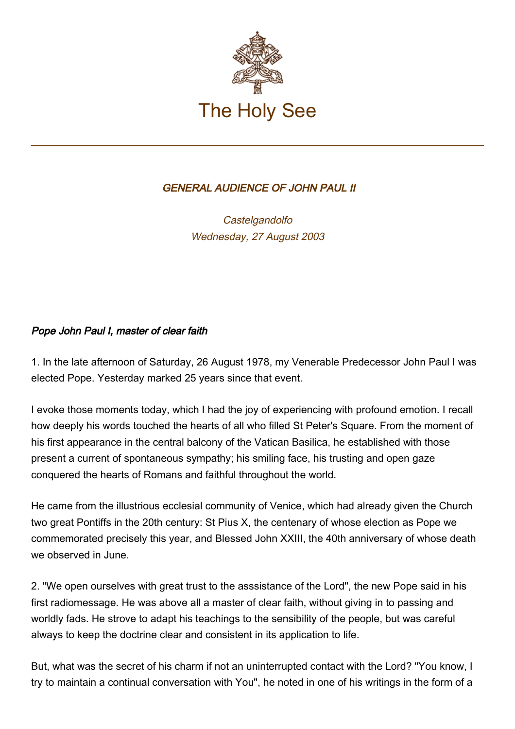

## GENERAL AUDIENCE OF JOHN PAUL II

**Castelgandolfo** Wednesday, 27 August 2003

## Pope John Paul I, master of clear faith

1. In the late afternoon of Saturday, 26 August 1978, my Venerable Predecessor John Paul I was elected Pope. Yesterday marked 25 years since that event.

I evoke those moments today, which I had the joy of experiencing with profound emotion. I recall how deeply his words touched the hearts of all who filled St Peter's Square. From the moment of his first appearance in the central balcony of the Vatican Basilica, he established with those present a current of spontaneous sympathy; his smiling face, his trusting and open gaze conquered the hearts of Romans and faithful throughout the world.

He came from the illustrious ecclesial community of Venice, which had already given the Church two great Pontiffs in the 20th century: St Pius X, the centenary of whose election as Pope we commemorated precisely this year, and Blessed John XXIII, the 40th anniversary of whose death we observed in June.

2. "We open ourselves with great trust to the asssistance of the Lord", the new Pope said in his first radiomessage. He was above all a master of clear faith, without giving in to passing and worldly fads. He strove to adapt his teachings to the sensibility of the people, but was careful always to keep the doctrine clear and consistent in its application to life.

But, what was the secret of his charm if not an uninterrupted contact with the Lord? "You know, I try to maintain a continual conversation with You", he noted in one of his writings in the form of a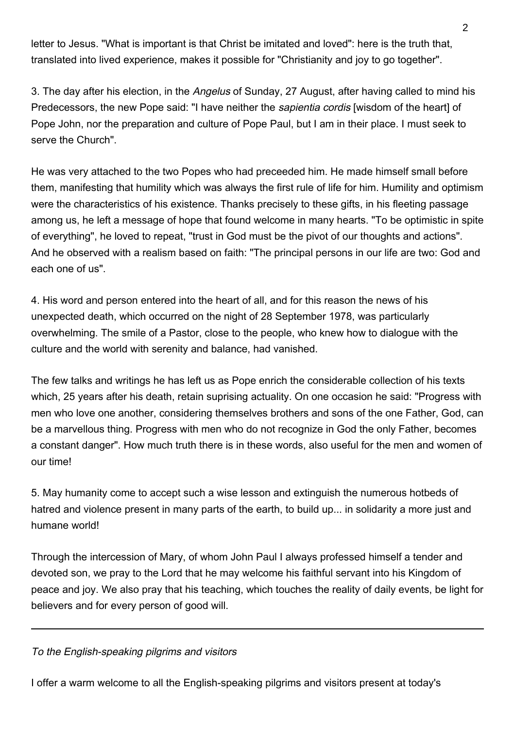letter to Jesus. "What is important is that Christ be imitated and loved": here is the truth that, translated into lived experience, makes it possible for "Christianity and joy to go together".

3. The day after his election, in the Angelus of Sunday, 27 August, after having called to mind his Predecessors, the new Pope said: "I have neither the *sapientia cordis* [wisdom of the heart] of Pope John, nor the preparation and culture of Pope Paul, but I am in their place. I must seek to serve the Church".

He was very attached to the two Popes who had preceeded him. He made himself small before them, manifesting that humility which was always the first rule of life for him. Humility and optimism were the characteristics of his existence. Thanks precisely to these gifts, in his fleeting passage among us, he left a message of hope that found welcome in many hearts. "To be optimistic in spite of everything", he loved to repeat, "trust in God must be the pivot of our thoughts and actions". And he observed with a realism based on faith: "The principal persons in our life are two: God and each one of us".

4. His word and person entered into the heart of all, and for this reason the news of his unexpected death, which occurred on the night of 28 September 1978, was particularly overwhelming. The smile of a Pastor, close to the people, who knew how to dialogue with the culture and the world with serenity and balance, had vanished.

The few talks and writings he has left us as Pope enrich the considerable collection of his texts which, 25 years after his death, retain suprising actuality. On one occasion he said: "Progress with men who love one another, considering themselves brothers and sons of the one Father, God, can be a marvellous thing. Progress with men who do not recognize in God the only Father, becomes a constant danger". How much truth there is in these words, also useful for the men and women of our time!

5. May humanity come to accept such a wise lesson and extinguish the numerous hotbeds of hatred and violence present in many parts of the earth, to build up... in solidarity a more just and humane world!

Through the intercession of Mary, of whom John Paul I always professed himself a tender and devoted son, we pray to the Lord that he may welcome his faithful servant into his Kingdom of peace and joy. We also pray that his teaching, which touches the reality of daily events, be light for believers and for every person of good will.

To the English-speaking pilgrims and visitors

I offer a warm welcome to all the English-speaking pilgrims and visitors present at today's